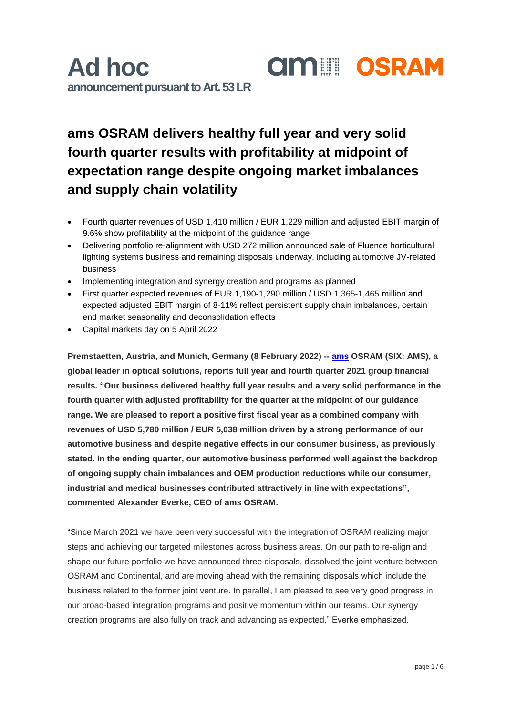### **ams OSRAM delivers healthy full year and very solid fourth quarter results with profitability at midpoint of expectation range despite ongoing market imbalances and supply chain volatility**

- Fourth quarter revenues of USD 1,410 million / EUR 1,229 million and adjusted EBIT margin of 9.6% show profitability at the midpoint of the guidance range
- Delivering portfolio re-alignment with USD 272 million announced sale of Fluence horticultural lighting systems business and remaining disposals underway, including automotive JV-related business
- Implementing integration and synergy creation and programs as planned
- First quarter expected revenues of EUR 1,190-1,290 million / USD 1,365-1,465 million and expected adjusted EBIT margin of 8-11% reflect persistent supply chain imbalances, certain end market seasonality and deconsolidation effects
- Capital markets day on 5 April 2022

**Premstaetten, Austria, and Munich, Germany (8 February 2022) -- [ams](https://ams.com/ams-start) OSRAM (SIX: AMS), a global leader in optical solutions, reports full year and fourth quarter 2021 group financial results. "Our business delivered healthy full year results and a very solid performance in the fourth quarter with adjusted profitability for the quarter at the midpoint of our guidance range. We are pleased to report a positive first fiscal year as a combined company with revenues of USD 5,780 million / EUR 5,038 million driven by a strong performance of our automotive business and despite negative effects in our consumer business, as previously stated. In the ending quarter, our automotive business performed well against the backdrop of ongoing supply chain imbalances and OEM production reductions while our consumer, industrial and medical businesses contributed attractively in line with expectations", commented Alexander Everke, CEO of ams OSRAM.** 

"Since March 2021 we have been very successful with the integration of OSRAM realizing major steps and achieving our targeted milestones across business areas. On our path to re-align and shape our future portfolio we have announced three disposals, dissolved the joint venture between OSRAM and Continental, and are moving ahead with the remaining disposals which include the business related to the former joint venture. In parallel, I am pleased to see very good progress in our broad-based integration programs and positive momentum within our teams. Our synergy creation programs are also fully on track and advancing as expected," Everke emphasized.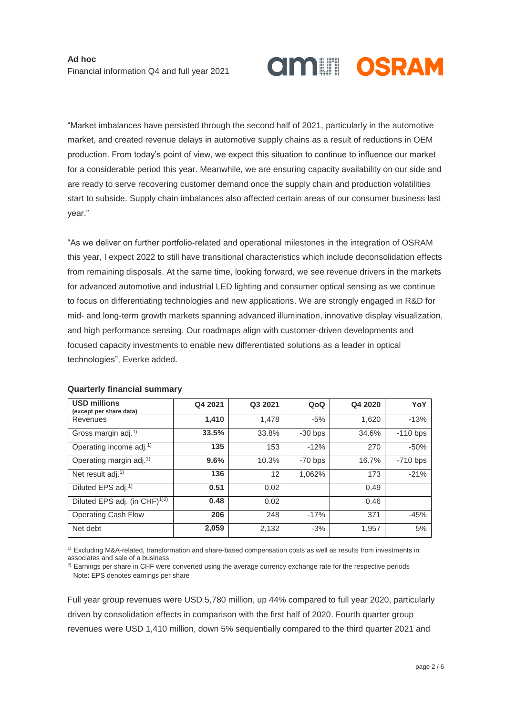# **AMILI OSRAM**

"Market imbalances have persisted through the second half of 2021, particularly in the automotive market, and created revenue delays in automotive supply chains as a result of reductions in OEM production. From today's point of view, we expect this situation to continue to influence our market for a considerable period this year. Meanwhile, we are ensuring capacity availability on our side and are ready to serve recovering customer demand once the supply chain and production volatilities start to subside. Supply chain imbalances also affected certain areas of our consumer business last year."

"As we deliver on further portfolio-related and operational milestones in the integration of OSRAM this year, I expect 2022 to still have transitional characteristics which include deconsolidation effects from remaining disposals. At the same time, looking forward, we see revenue drivers in the markets for advanced automotive and industrial LED lighting and consumer optical sensing as we continue to focus on differentiating technologies and new applications. We are strongly engaged in R&D for mid- and long-term growth markets spanning advanced illumination, innovative display visualization, and high performance sensing. Our roadmaps align with customer-driven developments and focused capacity investments to enable new differentiated solutions as a leader in optical technologies", Everke added.

| <b>USD millions</b><br>(except per share data) | Q4 2021 | Q3 2021 | QoQ       | Q4 2020 | YoY        |
|------------------------------------------------|---------|---------|-----------|---------|------------|
| Revenues                                       | 1,410   | 1.478   | $-5%$     | 1,620   | $-13%$     |
| Gross margin adj. <sup>1)</sup>                | 33.5%   | 33.8%   | $-30$ bps | 34.6%   | $-110$ bps |
| Operating income adj. <sup>1)</sup>            | 135     | 153     | $-12%$    | 270     | $-50%$     |
| Operating margin adj. <sup>1)</sup>            | 9.6%    | 10.3%   | $-70$ bps | 16.7%   | $-710$ bps |
| Net result adj. <sup>1)</sup>                  | 136     | 12      | 1,062%    | 173     | $-21%$     |
| Diluted EPS adj. <sup>1)</sup>                 | 0.51    | 0.02    |           | 0.49    |            |
| Diluted EPS adj. (in CHF) <sup>1)2)</sup>      | 0.48    | 0.02    |           | 0.46    |            |
| Operating Cash Flow                            | 206     | 248     | $-17%$    | 371     | $-45%$     |
| Net debt                                       | 2,059   | 2,132   | $-3%$     | 1,957   | 5%         |

### **Quarterly financial summary**

1) Excluding M&A-related, transformation and share-based compensation costs as well as results from investments in associates and sale of a business

<sup>2)</sup> Earnings per share in CHF were converted using the average currency exchange rate for the respective periods Note: EPS denotes earnings per share

Full year group revenues were USD 5,780 million, up 44% compared to full year 2020, particularly driven by consolidation effects in comparison with the first half of 2020. Fourth quarter group revenues were USD 1,410 million, down 5% sequentially compared to the third quarter 2021 and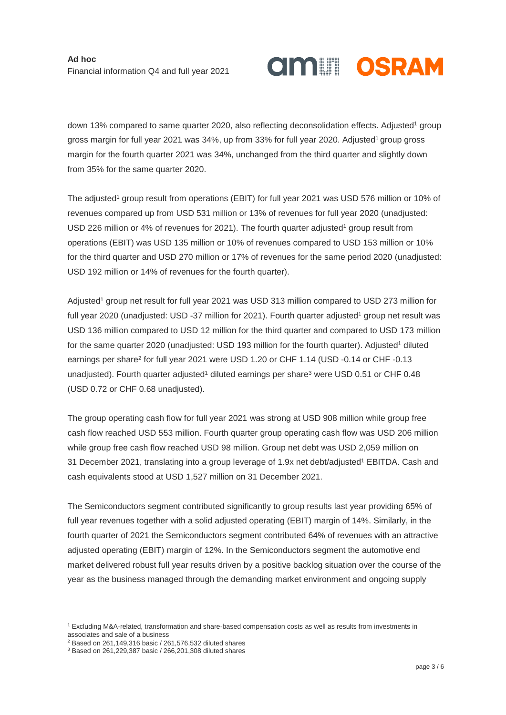## **AMILI OSRAM**

down 13% compared to same quarter 2020, also reflecting deconsolidation effects. Adjusted<sup>1</sup> group gross margin for full year 2021 was 34%, up from 33% for full year 2020. Adjusted <sup>1</sup> group gross margin for the fourth quarter 2021 was 34%, unchanged from the third quarter and slightly down from 35% for the same quarter 2020.

The adjusted<sup>1</sup> group result from operations (EBIT) for full year 2021 was USD 576 million or 10% of revenues compared up from USD 531 million or 13% of revenues for full year 2020 (unadjusted: USD 226 million or 4% of revenues for 2021). The fourth quarter adjusted<sup>1</sup> group result from operations (EBIT) was USD 135 million or 10% of revenues compared to USD 153 million or 10% for the third quarter and USD 270 million or 17% of revenues for the same period 2020 (unadjusted: USD 192 million or 14% of revenues for the fourth quarter).

Adjusted <sup>1</sup> group net result for full year 2021 was USD 313 million compared to USD 273 million for full year 2020 (unadjusted: USD -37 million for 2021). Fourth quarter adjusted <sup>1</sup> group net result was USD 136 million compared to USD 12 million for the third quarter and compared to USD 173 million for the same quarter 2020 (unadjusted: USD 193 million for the fourth quarter). Adjusted<sup>1</sup> diluted earnings per share<sup>2</sup> for full year 2021 were USD 1.20 or CHF 1.14 (USD -0.14 or CHF -0.13 unadjusted). Fourth quarter adjusted<sup>1</sup> diluted earnings per share<sup>3</sup> were USD 0.51 or CHF 0.48 (USD 0.72 or CHF 0.68 unadjusted).

The group operating cash flow for full year 2021 was strong at USD 908 million while group free cash flow reached USD 553 million. Fourth quarter group operating cash flow was USD 206 million while group free cash flow reached USD 98 million. Group net debt was USD 2,059 million on 31 December 2021, translating into a group leverage of 1.9x net debt/adjusted<sup>1</sup> EBITDA. Cash and cash equivalents stood at USD 1,527 million on 31 December 2021.

The Semiconductors segment contributed significantly to group results last year providing 65% of full year revenues together with a solid adjusted operating (EBIT) margin of 14%. Similarly, in the fourth quarter of 2021 the Semiconductors segment contributed 64% of revenues with an attractive adjusted operating (EBIT) margin of 12%. In the Semiconductors segment the automotive end market delivered robust full year results driven by a positive backlog situation over the course of the year as the business managed through the demanding market environment and ongoing supply

-

<sup>1</sup> Excluding M&A-related, transformation and share-based compensation costs as well as results from investments in associates and sale of a business

 $2$  Based on 261,149,316 basic / 261,576,532 diluted shares

<sup>3</sup> Based on 261,229,387 basic / 266,201,308 diluted shares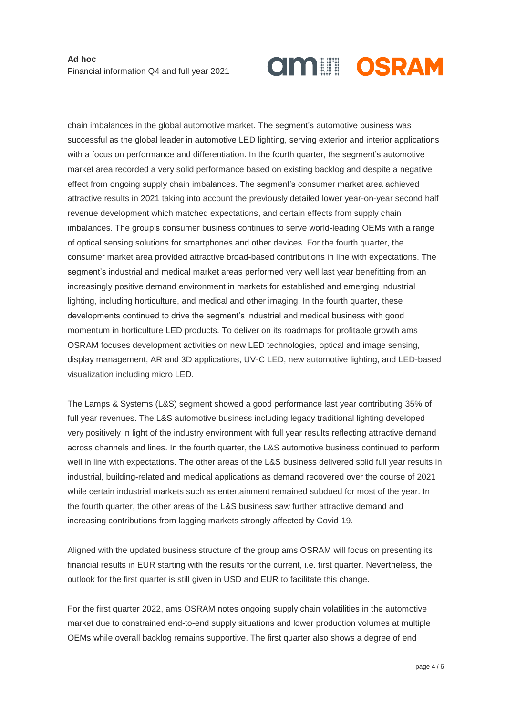# **AMILI OSRAM**

chain imbalances in the global automotive market. The segment's automotive business was successful as the global leader in automotive LED lighting, serving exterior and interior applications with a focus on performance and differentiation. In the fourth quarter, the segment's automotive market area recorded a very solid performance based on existing backlog and despite a negative effect from ongoing supply chain imbalances. The segment's consumer market area achieved attractive results in 2021 taking into account the previously detailed lower year-on-year second half revenue development which matched expectations, and certain effects from supply chain imbalances. The group's consumer business continues to serve world-leading OEMs with a range of optical sensing solutions for smartphones and other devices. For the fourth quarter, the consumer market area provided attractive broad-based contributions in line with expectations. The segment's industrial and medical market areas performed very well last year benefitting from an increasingly positive demand environment in markets for established and emerging industrial lighting, including horticulture, and medical and other imaging. In the fourth quarter, these developments continued to drive the segment's industrial and medical business with good momentum in horticulture LED products. To deliver on its roadmaps for profitable growth ams OSRAM focuses development activities on new LED technologies, optical and image sensing, display management, AR and 3D applications, UV-C LED, new automotive lighting, and LED-based visualization including micro LED.

The Lamps & Systems (L&S) segment showed a good performance last year contributing 35% of full year revenues. The L&S automotive business including legacy traditional lighting developed very positively in light of the industry environment with full year results reflecting attractive demand across channels and lines. In the fourth quarter, the L&S automotive business continued to perform well in line with expectations. The other areas of the L&S business delivered solid full year results in industrial, building-related and medical applications as demand recovered over the course of 2021 while certain industrial markets such as entertainment remained subdued for most of the year. In the fourth quarter, the other areas of the L&S business saw further attractive demand and increasing contributions from lagging markets strongly affected by Covid-19.

Aligned with the updated business structure of the group ams OSRAM will focus on presenting its financial results in EUR starting with the results for the current, i.e. first quarter. Nevertheless, the outlook for the first quarter is still given in USD and EUR to facilitate this change.

For the first quarter 2022, ams OSRAM notes ongoing supply chain volatilities in the automotive market due to constrained end-to-end supply situations and lower production volumes at multiple OEMs while overall backlog remains supportive. The first quarter also shows a degree of end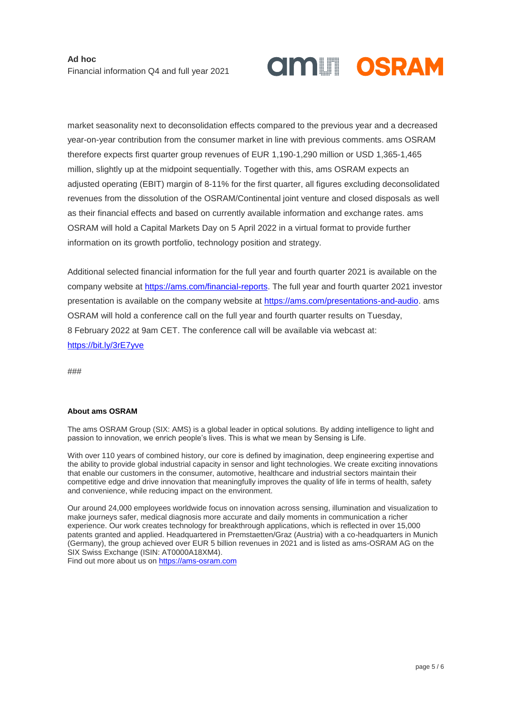

market seasonality next to deconsolidation effects compared to the previous year and a decreased year-on-year contribution from the consumer market in line with previous comments. ams OSRAM therefore expects first quarter group revenues of EUR 1,190-1,290 million or USD 1,365-1,465 million, slightly up at the midpoint sequentially. Together with this, ams OSRAM expects an adjusted operating (EBIT) margin of 8-11% for the first quarter, all figures excluding deconsolidated revenues from the dissolution of the OSRAM/Continental joint venture and closed disposals as well as their financial effects and based on currently available information and exchange rates. ams OSRAM will hold a Capital Markets Day on 5 April 2022 in a virtual format to provide further information on its growth portfolio, technology position and strategy.

Additional selected financial information for the full year and fourth quarter 2021 is available on the company website at [https://ams.com/financial-reports.](https://ams.com/financial-reports) The full year and fourth quarter 2021 investor presentation is available on the company website at [https://ams.com/presentations-and-audio.](https://ams.com/presentations-and-audio) ams OSRAM will hold a conference call on the full year and fourth quarter results on Tuesday, 8 February 2022 at 9am CET. The conference call will be available via webcast at: [https://bit.ly/3rE7yve](https://eur02.safelinks.protection.outlook.com/?url=https%3A%2F%2Fbit.ly%2F3rE7yve&data=04%7C01%7C%7Ca091afeb8e924a54b56208d9e0189d3a%7Cec1ca250c2344d56a76b7dfb9eee0c46%7C0%7C0%7C637787218595729982%7CUnknown%7CTWFpbGZsb3d8eyJWIjoiMC4wLjAwMDAiLCJQIjoiV2luMzIiLCJBTiI6Ik1haWwiLCJXVCI6Mn0%3D%7C3000&sdata=klvFPw3Pk80gNdQxa%2FBhk5sMmLCCCpZ5Nmc%2Bk7DwbaU%3D&reserved=0)

###

### **About ams OSRAM**

The ams OSRAM Group (SIX: AMS) is a global leader in optical solutions. By adding intelligence to light and passion to innovation, we enrich people's lives. This is what we mean by Sensing is Life.

With over 110 years of combined history, our core is defined by imagination, deep engineering expertise and the ability to provide global industrial capacity in sensor and light technologies. We create exciting innovations that enable our customers in the consumer, automotive, healthcare and industrial sectors maintain their competitive edge and drive innovation that meaningfully improves the quality of life in terms of health, safety and convenience, while reducing impact on the environment.

Our around 24,000 employees worldwide focus on innovation across sensing, illumination and visualization to make journeys safer, medical diagnosis more accurate and daily moments in communication a richer experience. Our work creates technology for breakthrough applications, which is reflected in over 15,000 patents granted and applied. Headquartered in Premstaetten/Graz (Austria) with a co-headquarters in Munich (Germany), the group achieved over EUR 5 billion revenues in 2021 and is listed as ams-OSRAM AG on the SIX Swiss Exchange (ISIN: AT0000A18XM4).

Find out more about us on [https://ams-osram.com](https://ams-osram.com/)